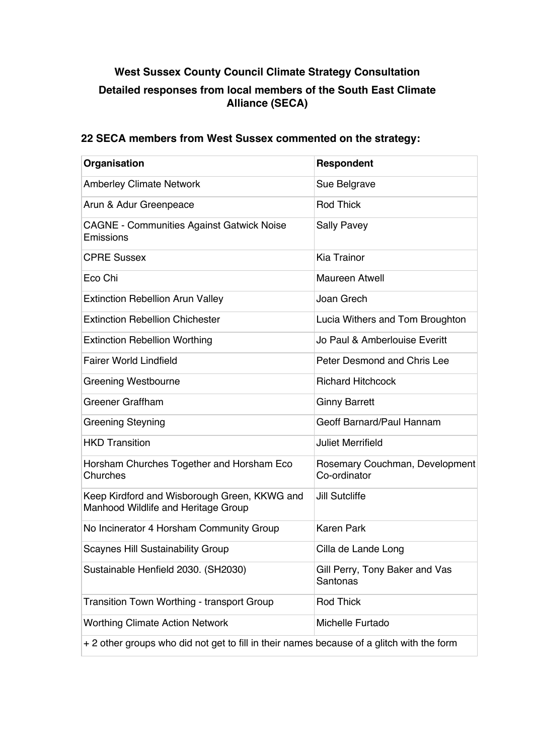# **West Sussex County Council Climate Strategy Consultation**

## **Detailed responses from local members of the South East Climate Alliance (SECA)**

## **22 SECA members from West Sussex commented on the strategy:**

| Organisation                                                                              | Respondent                                     |
|-------------------------------------------------------------------------------------------|------------------------------------------------|
| <b>Amberley Climate Network</b>                                                           | Sue Belgrave                                   |
| Arun & Adur Greenpeace                                                                    | <b>Rod Thick</b>                               |
| <b>CAGNE - Communities Against Gatwick Noise</b><br>Emissions                             | <b>Sally Pavey</b>                             |
| <b>CPRE Sussex</b>                                                                        | <b>Kia Trainor</b>                             |
| Eco Chi                                                                                   | <b>Maureen Atwell</b>                          |
| <b>Extinction Rebellion Arun Valley</b>                                                   | Joan Grech                                     |
| <b>Extinction Rebellion Chichester</b>                                                    | Lucia Withers and Tom Broughton                |
| <b>Extinction Rebellion Worthing</b>                                                      | Jo Paul & Amberlouise Everitt                  |
| <b>Fairer World Lindfield</b>                                                             | Peter Desmond and Chris Lee                    |
| Greening Westbourne                                                                       | <b>Richard Hitchcock</b>                       |
| <b>Greener Graffham</b>                                                                   | <b>Ginny Barrett</b>                           |
| <b>Greening Steyning</b>                                                                  | Geoff Barnard/Paul Hannam                      |
| <b>HKD Transition</b>                                                                     | <b>Juliet Merrifield</b>                       |
| Horsham Churches Together and Horsham Eco<br>Churches                                     | Rosemary Couchman, Development<br>Co-ordinator |
| Keep Kirdford and Wisborough Green, KKWG and<br>Manhood Wildlife and Heritage Group       | <b>Jill Sutcliffe</b>                          |
| No Incinerator 4 Horsham Community Group                                                  | <b>Karen Park</b>                              |
| <b>Scaynes Hill Sustainability Group</b>                                                  | Cilla de Lande Long                            |
| Sustainable Henfield 2030. (SH2030)                                                       | Gill Perry, Tony Baker and Vas<br>Santonas     |
| <b>Transition Town Worthing - transport Group</b>                                         | Rod Thick                                      |
| <b>Worthing Climate Action Network</b>                                                    | Michelle Furtado                               |
| + 2 other groups who did not get to fill in their names because of a glitch with the form |                                                |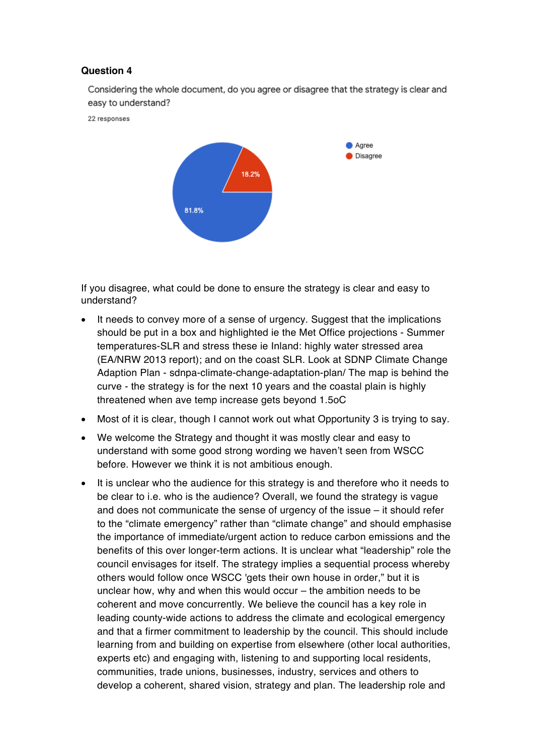Considering the whole document, do you agree or disagree that the strategy is clear and easy to understand?

22 responses



If you disagree, what could be done to ensure the strategy is clear and easy to understand?

- It needs to convey more of a sense of urgency. Suggest that the implications should be put in a box and highlighted ie the Met Office projections - Summer temperatures-SLR and stress these ie Inland: highly water stressed area (EA/NRW 2013 report); and on the coast SLR. Look at SDNP Climate Change Adaption Plan - sdnpa-climate-change-adaptation-plan/ The map is behind the curve - the strategy is for the next 10 years and the coastal plain is highly threatened when ave temp increase gets beyond 1.5oC
- Most of it is clear, though I cannot work out what Opportunity 3 is trying to say.
- We welcome the Strategy and thought it was mostly clear and easy to understand with some good strong wording we haven't seen from WSCC before. However we think it is not ambitious enough.
- It is unclear who the audience for this strategy is and therefore who it needs to be clear to i.e. who is the audience? Overall, we found the strategy is vague and does not communicate the sense of urgency of the issue – it should refer to the "climate emergency" rather than "climate change" and should emphasise the importance of immediate/urgent action to reduce carbon emissions and the benefits of this over longer-term actions. It is unclear what "leadership" role the council envisages for itself. The strategy implies a sequential process whereby others would follow once WSCC 'gets their own house in order," but it is unclear how, why and when this would occur – the ambition needs to be coherent and move concurrently. We believe the council has a key role in leading county-wide actions to address the climate and ecological emergency and that a firmer commitment to leadership by the council. This should include learning from and building on expertise from elsewhere (other local authorities, experts etc) and engaging with, listening to and supporting local residents, communities, trade unions, businesses, industry, services and others to develop a coherent, shared vision, strategy and plan. The leadership role and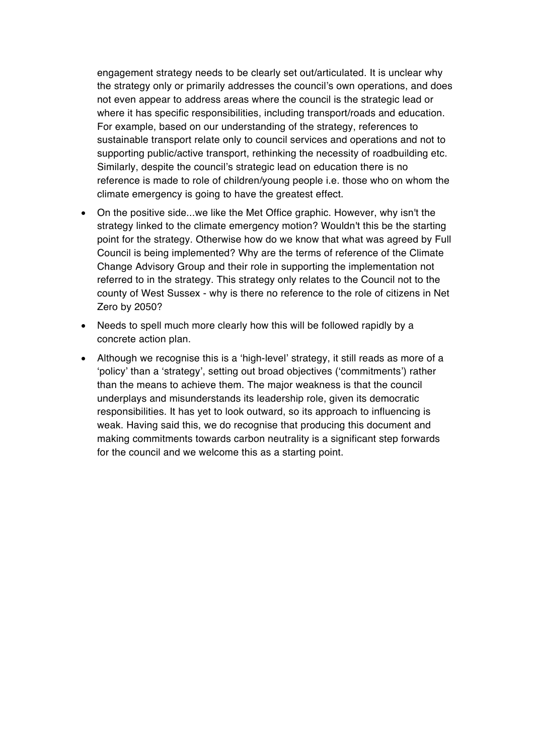engagement strategy needs to be clearly set out/articulated. It is unclear why the strategy only or primarily addresses the council's own operations, and does not even appear to address areas where the council is the strategic lead or where it has specific responsibilities, including transport/roads and education. For example, based on our understanding of the strategy, references to sustainable transport relate only to council services and operations and not to supporting public/active transport, rethinking the necessity of roadbuilding etc. Similarly, despite the council's strategic lead on education there is no reference is made to role of children/young people i.e. those who on whom the climate emergency is going to have the greatest effect.

- On the positive side...we like the Met Office graphic. However, why isn't the strategy linked to the climate emergency motion? Wouldn't this be the starting point for the strategy. Otherwise how do we know that what was agreed by Full Council is being implemented? Why are the terms of reference of the Climate Change Advisory Group and their role in supporting the implementation not referred to in the strategy. This strategy only relates to the Council not to the county of West Sussex - why is there no reference to the role of citizens in Net Zero by 2050?
- Needs to spell much more clearly how this will be followed rapidly by a concrete action plan.
- Although we recognise this is a 'high-level' strategy, it still reads as more of a 'policy' than a 'strategy', setting out broad objectives ('commitments') rather than the means to achieve them. The major weakness is that the council underplays and misunderstands its leadership role, given its democratic responsibilities. It has yet to look outward, so its approach to influencing is weak. Having said this, we do recognise that producing this document and making commitments towards carbon neutrality is a significant step forwards for the council and we welcome this as a starting point.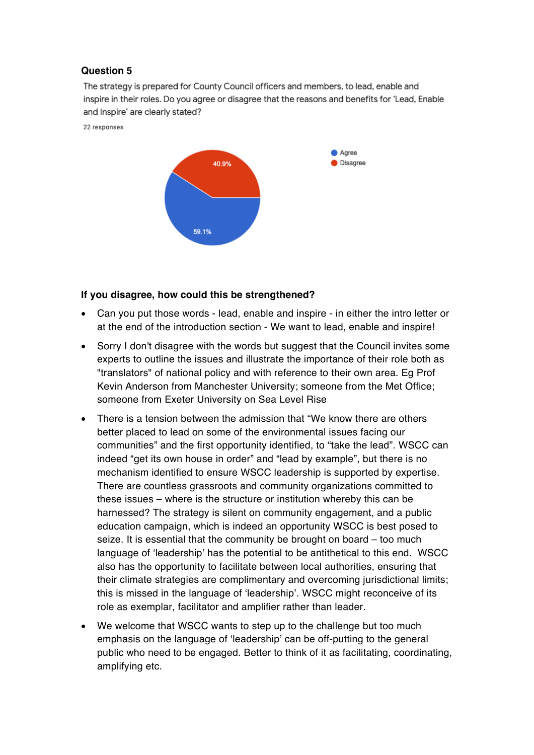The strategy is prepared for County Council officers and members, to lead, enable and inspire in their roles. Do you agree or disagree that the reasons and benefits for 'Lead, Enable and Inspire' are clearly stated?

22 responses



#### **If you disagree, how could this be strengthened?**

- Can you put those words lead, enable and inspire in either the intro letter or at the end of the introduction section - We want to lead, enable and inspire!
- Sorry I don't disagree with the words but suggest that the Council invites some experts to outline the issues and illustrate the importance of their role both as "translators" of national policy and with reference to their own area. Eg Prof Kevin Anderson from Manchester University; someone from the Met Office; someone from Exeter University on Sea Level Rise
- There is a tension between the admission that "We know there are others better placed to lead on some of the environmental issues facing our communities" and the first opportunity identified, to "take the lead". WSCC can indeed "get its own house in order" and "lead by example", but there is no mechanism identified to ensure WSCC leadership is supported by expertise. There are countless grassroots and community organizations committed to these issues – where is the structure or institution whereby this can be harnessed? The strategy is silent on community engagement, and a public education campaign, which is indeed an opportunity WSCC is best posed to seize. It is essential that the community be brought on board – too much language of 'leadership' has the potential to be antithetical to this end. WSCC also has the opportunity to facilitate between local authorities, ensuring that their climate strategies are complimentary and overcoming jurisdictional limits; this is missed in the language of 'leadership'. WSCC might reconceive of its role as exemplar, facilitator and amplifier rather than leader.
- We welcome that WSCC wants to step up to the challenge but too much emphasis on the language of 'leadership' can be off-putting to the general public who need to be engaged. Better to think of it as facilitating, coordinating, amplifying etc.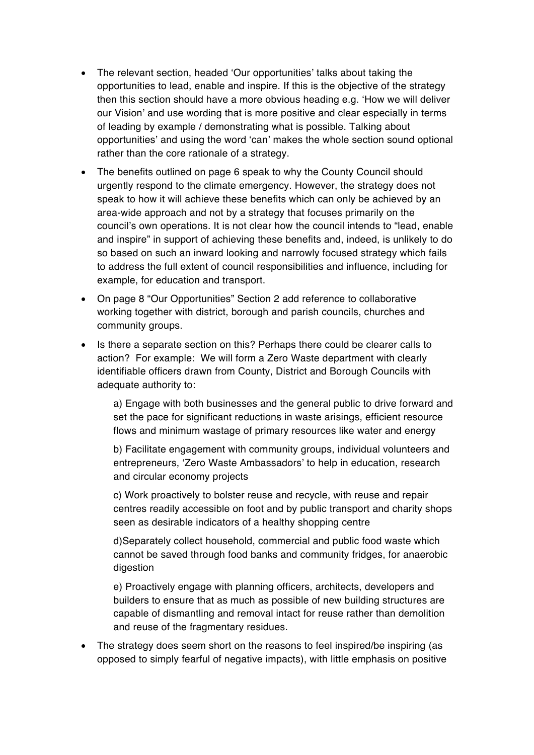- The relevant section, headed 'Our opportunities' talks about taking the opportunities to lead, enable and inspire. If this is the objective of the strategy then this section should have a more obvious heading e.g. 'How we will deliver our Vision' and use wording that is more positive and clear especially in terms of leading by example / demonstrating what is possible. Talking about opportunities' and using the word 'can' makes the whole section sound optional rather than the core rationale of a strategy.
- The benefits outlined on page 6 speak to why the County Council should urgently respond to the climate emergency. However, the strategy does not speak to how it will achieve these benefits which can only be achieved by an area-wide approach and not by a strategy that focuses primarily on the council's own operations. It is not clear how the council intends to "lead, enable and inspire" in support of achieving these benefits and, indeed, is unlikely to do so based on such an inward looking and narrowly focused strategy which fails to address the full extent of council responsibilities and influence, including for example, for education and transport.
- On page 8 "Our Opportunities" Section 2 add reference to collaborative working together with district, borough and parish councils, churches and community groups.
- Is there a separate section on this? Perhaps there could be clearer calls to action? For example: We will form a Zero Waste department with clearly identifiable officers drawn from County, District and Borough Councils with adequate authority to:

a) Engage with both businesses and the general public to drive forward and set the pace for significant reductions in waste arisings, efficient resource flows and minimum wastage of primary resources like water and energy

b) Facilitate engagement with community groups, individual volunteers and entrepreneurs, 'Zero Waste Ambassadors' to help in education, research and circular economy projects

c) Work proactively to bolster reuse and recycle, with reuse and repair centres readily accessible on foot and by public transport and charity shops seen as desirable indicators of a healthy shopping centre

d)Separately collect household, commercial and public food waste which cannot be saved through food banks and community fridges, for anaerobic digestion

e) Proactively engage with planning officers, architects, developers and builders to ensure that as much as possible of new building structures are capable of dismantling and removal intact for reuse rather than demolition and reuse of the fragmentary residues.

• The strategy does seem short on the reasons to feel inspired/be inspiring (as opposed to simply fearful of negative impacts), with little emphasis on positive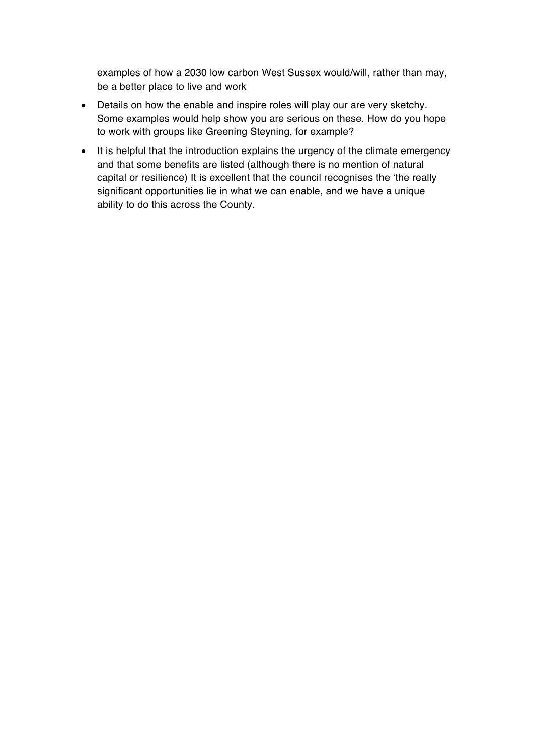examples of how a 2030 low carbon West Sussex would/will, rather than may, be a better place to live and work

- Details on how the enable and inspire roles will play our are very sketchy. Some examples would help show you are serious on these. How do you hope to work with groups like Greening Steyning, for example?
- It is helpful that the introduction explains the urgency of the climate emergency and that some benefits are listed (although there is no mention of natural capital or resilience) It is excellent that the council recognises the 'the really significant opportunities lie in what we can enable, and we have a unique ability to do this across the County.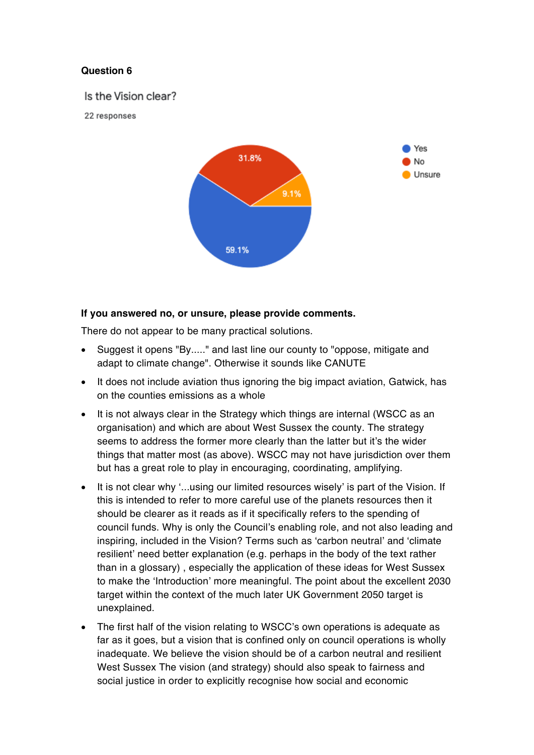Is the Vision clear?

22 responses



#### **If you answered no, or unsure, please provide comments.**

There do not appear to be many practical solutions.

- Suggest it opens "By....." and last line our county to "oppose, mitigate and adapt to climate change". Otherwise it sounds like CANUTE
- It does not include aviation thus ignoring the big impact aviation, Gatwick, has on the counties emissions as a whole
- It is not always clear in the Strategy which things are internal (WSCC as an organisation) and which are about West Sussex the county. The strategy seems to address the former more clearly than the latter but it's the wider things that matter most (as above). WSCC may not have jurisdiction over them but has a great role to play in encouraging, coordinating, amplifying.
- It is not clear why '...using our limited resources wisely' is part of the Vision. If this is intended to refer to more careful use of the planets resources then it should be clearer as it reads as if it specifically refers to the spending of council funds. Why is only the Council's enabling role, and not also leading and inspiring, included in the Vision? Terms such as 'carbon neutral' and 'climate resilient' need better explanation (e.g. perhaps in the body of the text rather than in a glossary) , especially the application of these ideas for West Sussex to make the 'Introduction' more meaningful. The point about the excellent 2030 target within the context of the much later UK Government 2050 target is unexplained.
- The first half of the vision relating to WSCC's own operations is adequate as far as it goes, but a vision that is confined only on council operations is wholly inadequate. We believe the vision should be of a carbon neutral and resilient West Sussex The vision (and strategy) should also speak to fairness and social justice in order to explicitly recognise how social and economic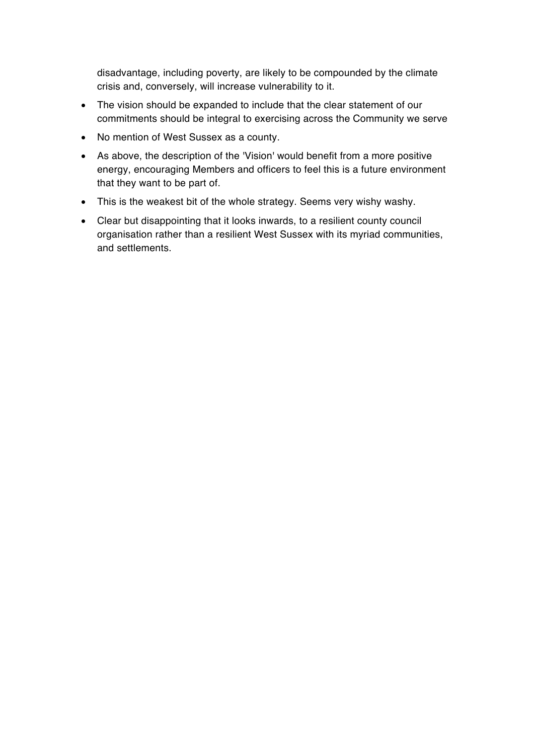disadvantage, including poverty, are likely to be compounded by the climate crisis and, conversely, will increase vulnerability to it.

- The vision should be expanded to include that the clear statement of our commitments should be integral to exercising across the Community we serve
- No mention of West Sussex as a county.
- As above, the description of the 'Vision' would benefit from a more positive energy, encouraging Members and officers to feel this is a future environment that they want to be part of.
- This is the weakest bit of the whole strategy. Seems very wishy washy.
- Clear but disappointing that it looks inwards, to a resilient county council organisation rather than a resilient West Sussex with its myriad communities, and settlements.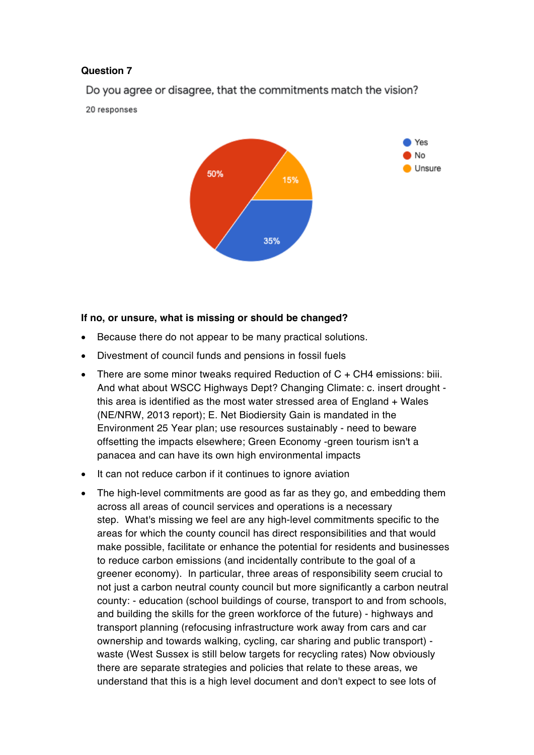Do you agree or disagree, that the commitments match the vision?

20 responses



#### **If no, or unsure, what is missing or should be changed?**

- Because there do not appear to be many practical solutions.
- Divestment of council funds and pensions in fossil fuels
- There are some minor tweaks required Reduction of C + CH4 emissions: biii. And what about WSCC Highways Dept? Changing Climate: c. insert drought this area is identified as the most water stressed area of England + Wales (NE/NRW, 2013 report); E. Net Biodiersity Gain is mandated in the Environment 25 Year plan; use resources sustainably - need to beware offsetting the impacts elsewhere; Green Economy -green tourism isn't a panacea and can have its own high environmental impacts
- It can not reduce carbon if it continues to ignore aviation
- The high-level commitments are good as far as they go, and embedding them across all areas of council services and operations is a necessary step. What's missing we feel are any high-level commitments specific to the areas for which the county council has direct responsibilities and that would make possible, facilitate or enhance the potential for residents and businesses to reduce carbon emissions (and incidentally contribute to the goal of a greener economy). In particular, three areas of responsibility seem crucial to not just a carbon neutral county council but more significantly a carbon neutral county: - education (school buildings of course, transport to and from schools, and building the skills for the green workforce of the future) - highways and transport planning (refocusing infrastructure work away from cars and car ownership and towards walking, cycling, car sharing and public transport) waste (West Sussex is still below targets for recycling rates) Now obviously there are separate strategies and policies that relate to these areas, we understand that this is a high level document and don't expect to see lots of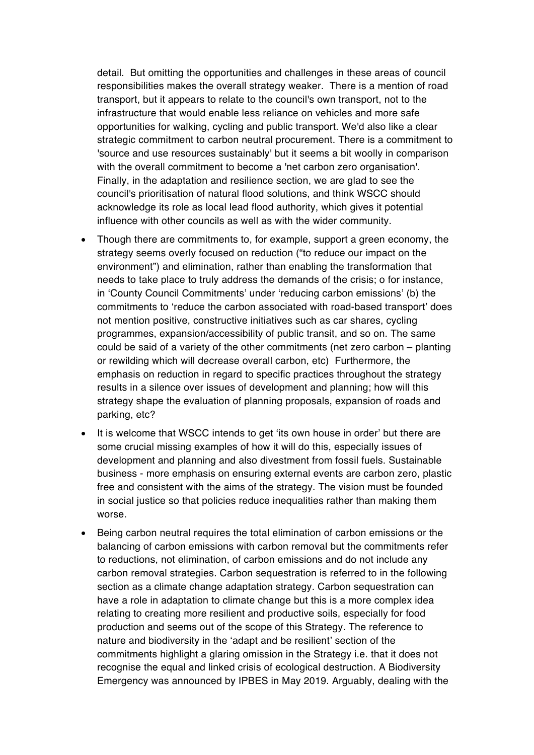detail. But omitting the opportunities and challenges in these areas of council responsibilities makes the overall strategy weaker. There is a mention of road transport, but it appears to relate to the council's own transport, not to the infrastructure that would enable less reliance on vehicles and more safe opportunities for walking, cycling and public transport. We'd also like a clear strategic commitment to carbon neutral procurement. There is a commitment to 'source and use resources sustainably' but it seems a bit woolly in comparison with the overall commitment to become a 'net carbon zero organisation'. Finally, in the adaptation and resilience section, we are glad to see the council's prioritisation of natural flood solutions, and think WSCC should acknowledge its role as local lead flood authority, which gives it potential influence with other councils as well as with the wider community.

- Though there are commitments to, for example, support a green economy, the strategy seems overly focused on reduction ("to reduce our impact on the environment") and elimination, rather than enabling the transformation that needs to take place to truly address the demands of the crisis; o for instance, in 'County Council Commitments' under 'reducing carbon emissions' (b) the commitments to 'reduce the carbon associated with road-based transport' does not mention positive, constructive initiatives such as car shares, cycling programmes, expansion/accessibility of public transit, and so on. The same could be said of a variety of the other commitments (net zero carbon – planting or rewilding which will decrease overall carbon, etc) Furthermore, the emphasis on reduction in regard to specific practices throughout the strategy results in a silence over issues of development and planning; how will this strategy shape the evaluation of planning proposals, expansion of roads and parking, etc?
- It is welcome that WSCC intends to get 'its own house in order' but there are some crucial missing examples of how it will do this, especially issues of development and planning and also divestment from fossil fuels. Sustainable business - more emphasis on ensuring external events are carbon zero, plastic free and consistent with the aims of the strategy. The vision must be founded in social justice so that policies reduce inequalities rather than making them worse.
- Being carbon neutral requires the total elimination of carbon emissions or the balancing of carbon emissions with carbon removal but the commitments refer to reductions, not elimination, of carbon emissions and do not include any carbon removal strategies. Carbon sequestration is referred to in the following section as a climate change adaptation strategy. Carbon sequestration can have a role in adaptation to climate change but this is a more complex idea relating to creating more resilient and productive soils, especially for food production and seems out of the scope of this Strategy. The reference to nature and biodiversity in the 'adapt and be resilient' section of the commitments highlight a glaring omission in the Strategy i.e. that it does not recognise the equal and linked crisis of ecological destruction. A Biodiversity Emergency was announced by IPBES in May 2019. Arguably, dealing with the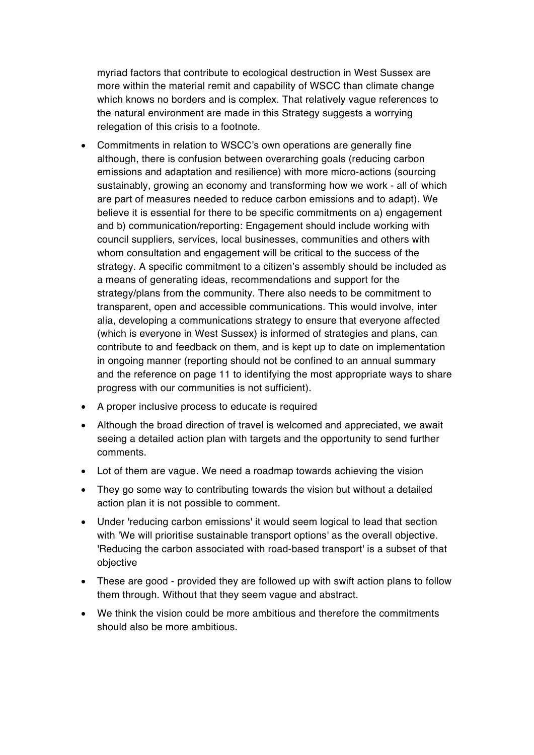myriad factors that contribute to ecological destruction in West Sussex are more within the material remit and capability of WSCC than climate change which knows no borders and is complex. That relatively vague references to the natural environment are made in this Strategy suggests a worrying relegation of this crisis to a footnote.

- Commitments in relation to WSCC's own operations are generally fine although, there is confusion between overarching goals (reducing carbon emissions and adaptation and resilience) with more micro-actions (sourcing sustainably, growing an economy and transforming how we work - all of which are part of measures needed to reduce carbon emissions and to adapt). We believe it is essential for there to be specific commitments on a) engagement and b) communication/reporting: Engagement should include working with council suppliers, services, local businesses, communities and others with whom consultation and engagement will be critical to the success of the strategy. A specific commitment to a citizen's assembly should be included as a means of generating ideas, recommendations and support for the strategy/plans from the community. There also needs to be commitment to transparent, open and accessible communications. This would involve, inter alia, developing a communications strategy to ensure that everyone affected (which is everyone in West Sussex) is informed of strategies and plans, can contribute to and feedback on them, and is kept up to date on implementation in ongoing manner (reporting should not be confined to an annual summary and the reference on page 11 to identifying the most appropriate ways to share progress with our communities is not sufficient).
- A proper inclusive process to educate is required
- Although the broad direction of travel is welcomed and appreciated, we await seeing a detailed action plan with targets and the opportunity to send further comments.
- Lot of them are vague. We need a roadmap towards achieving the vision
- They go some way to contributing towards the vision but without a detailed action plan it is not possible to comment.
- Under 'reducing carbon emissions' it would seem logical to lead that section with 'We will prioritise sustainable transport options' as the overall objective. 'Reducing the carbon associated with road-based transport' is a subset of that objective
- These are good provided they are followed up with swift action plans to follow them through. Without that they seem vague and abstract.
- We think the vision could be more ambitious and therefore the commitments should also be more ambitious.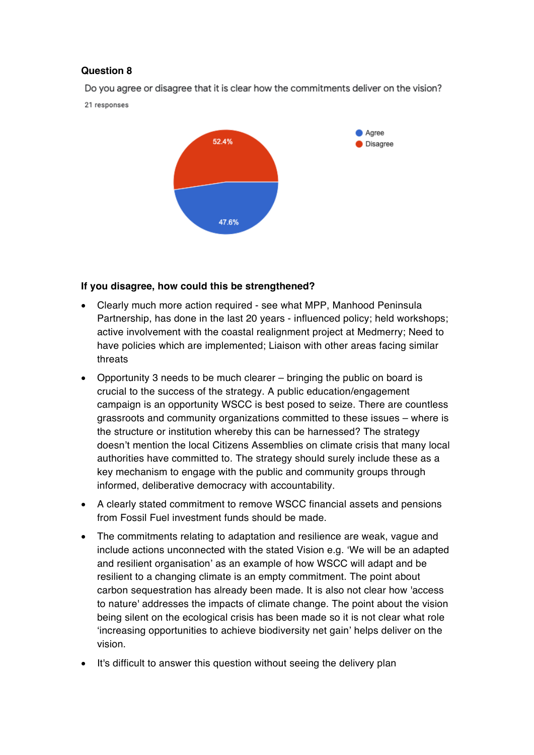Do you agree or disagree that it is clear how the commitments deliver on the vision?

21 responses



## **If you disagree, how could this be strengthened?**

- Clearly much more action required see what MPP, Manhood Peninsula Partnership, has done in the last 20 years - influenced policy; held workshops; active involvement with the coastal realignment project at Medmerry; Need to have policies which are implemented; Liaison with other areas facing similar threats
- Opportunity 3 needs to be much clearer bringing the public on board is crucial to the success of the strategy. A public education/engagement campaign is an opportunity WSCC is best posed to seize. There are countless grassroots and community organizations committed to these issues – where is the structure or institution whereby this can be harnessed? The strategy doesn't mention the local Citizens Assemblies on climate crisis that many local authorities have committed to. The strategy should surely include these as a key mechanism to engage with the public and community groups through informed, deliberative democracy with accountability.
- A clearly stated commitment to remove WSCC financial assets and pensions from Fossil Fuel investment funds should be made.
- The commitments relating to adaptation and resilience are weak, vague and include actions unconnected with the stated Vision e.g. 'We will be an adapted and resilient organisation' as an example of how WSCC will adapt and be resilient to a changing climate is an empty commitment. The point about carbon sequestration has already been made. It is also not clear how 'access to nature' addresses the impacts of climate change. The point about the vision being silent on the ecological crisis has been made so it is not clear what role 'increasing opportunities to achieve biodiversity net gain' helps deliver on the vision.
- It's difficult to answer this question without seeing the delivery plan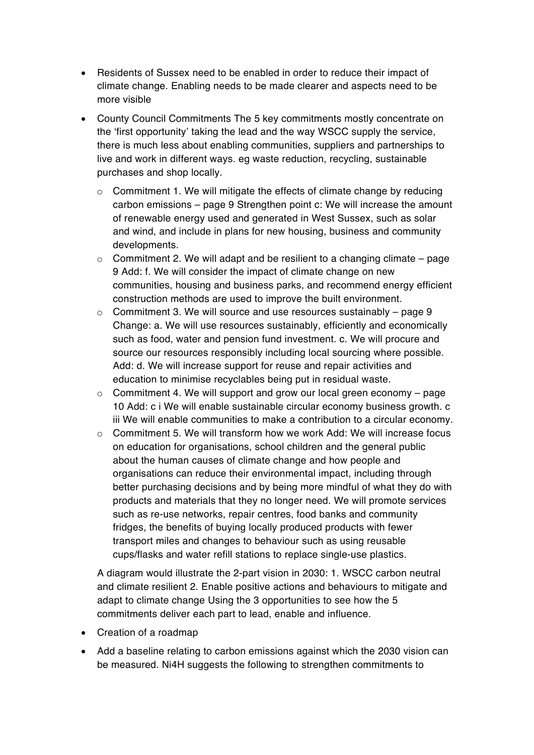- Residents of Sussex need to be enabled in order to reduce their impact of climate change. Enabling needs to be made clearer and aspects need to be more visible
- County Council Commitments The 5 key commitments mostly concentrate on the 'first opportunity' taking the lead and the way WSCC supply the service, there is much less about enabling communities, suppliers and partnerships to live and work in different ways. eg waste reduction, recycling, sustainable purchases and shop locally.
	- o Commitment 1. We will mitigate the effects of climate change by reducing carbon emissions – page 9 Strengthen point c: We will increase the amount of renewable energy used and generated in West Sussex, such as solar and wind, and include in plans for new housing, business and community developments.
	- $\circ$  Commitment 2. We will adapt and be resilient to a changing climate page 9 Add: f. We will consider the impact of climate change on new communities, housing and business parks, and recommend energy efficient construction methods are used to improve the built environment.
	- o Commitment 3. We will source and use resources sustainably page 9 Change: a. We will use resources sustainably, efficiently and economically such as food, water and pension fund investment. c. We will procure and source our resources responsibly including local sourcing where possible. Add: d. We will increase support for reuse and repair activities and education to minimise recyclables being put in residual waste.
	- $\circ$  Commitment 4. We will support and grow our local green economy page 10 Add: c i We will enable sustainable circular economy business growth. c iii We will enable communities to make a contribution to a circular economy.
	- $\circ$  Commitment 5. We will transform how we work Add: We will increase focus on education for organisations, school children and the general public about the human causes of climate change and how people and organisations can reduce their environmental impact, including through better purchasing decisions and by being more mindful of what they do with products and materials that they no longer need. We will promote services such as re-use networks, repair centres, food banks and community fridges, the benefits of buying locally produced products with fewer transport miles and changes to behaviour such as using reusable cups/flasks and water refill stations to replace single-use plastics.

A diagram would illustrate the 2-part vision in 2030: 1. WSCC carbon neutral and climate resilient 2. Enable positive actions and behaviours to mitigate and adapt to climate change Using the 3 opportunities to see how the 5 commitments deliver each part to lead, enable and influence.

- Creation of a roadmap
- Add a baseline relating to carbon emissions against which the 2030 vision can be measured. Ni4H suggests the following to strengthen commitments to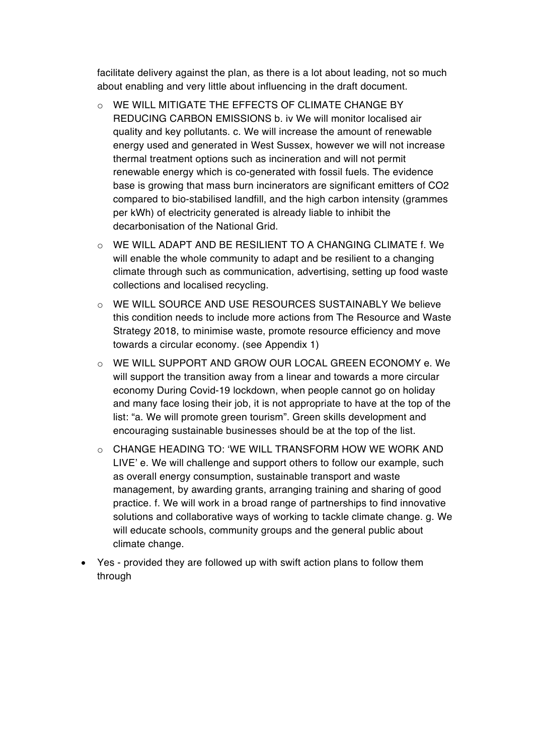facilitate delivery against the plan, as there is a lot about leading, not so much about enabling and very little about influencing in the draft document.

- o WE WILL MITIGATE THE EFFECTS OF CLIMATE CHANGE BY REDUCING CARBON EMISSIONS b. iv We will monitor localised air quality and key pollutants. c. We will increase the amount of renewable energy used and generated in West Sussex, however we will not increase thermal treatment options such as incineration and will not permit renewable energy which is co-generated with fossil fuels. The evidence base is growing that mass burn incinerators are significant emitters of CO2 compared to bio-stabilised landfill, and the high carbon intensity (grammes per kWh) of electricity generated is already liable to inhibit the decarbonisation of the National Grid.
- o WE WILL ADAPT AND BE RESILIENT TO A CHANGING CLIMATE f. We will enable the whole community to adapt and be resilient to a changing climate through such as communication, advertising, setting up food waste collections and localised recycling.
- o WE WILL SOURCE AND USE RESOURCES SUSTAINABLY We believe this condition needs to include more actions from The Resource and Waste Strategy 2018, to minimise waste, promote resource efficiency and move towards a circular economy. (see Appendix 1)
- o WE WILL SUPPORT AND GROW OUR LOCAL GREEN ECONOMY e. We will support the transition away from a linear and towards a more circular economy During Covid-19 lockdown, when people cannot go on holiday and many face losing their job, it is not appropriate to have at the top of the list: "a. We will promote green tourism". Green skills development and encouraging sustainable businesses should be at the top of the list.
- $\circ$  CHANGE HEADING TO: 'WE WILL TRANSFORM HOW WE WORK AND LIVE' e. We will challenge and support others to follow our example, such as overall energy consumption, sustainable transport and waste management, by awarding grants, arranging training and sharing of good practice. f. We will work in a broad range of partnerships to find innovative solutions and collaborative ways of working to tackle climate change. g. We will educate schools, community groups and the general public about climate change.
- Yes provided they are followed up with swift action plans to follow them through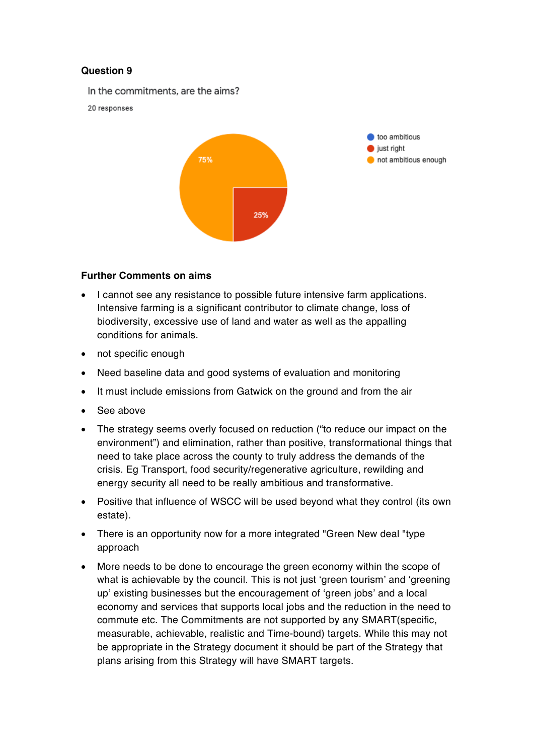In the commitments, are the aims?

20 responses



#### **Further Comments on aims**

- I cannot see any resistance to possible future intensive farm applications. Intensive farming is a significant contributor to climate change, loss of biodiversity, excessive use of land and water as well as the appalling conditions for animals.
- not specific enough
- Need baseline data and good systems of evaluation and monitoring
- It must include emissions from Gatwick on the ground and from the air
- See above
- The strategy seems overly focused on reduction ("to reduce our impact on the environment") and elimination, rather than positive, transformational things that need to take place across the county to truly address the demands of the crisis. Eg Transport, food security/regenerative agriculture, rewilding and energy security all need to be really ambitious and transformative.
- Positive that influence of WSCC will be used beyond what they control (its own estate).
- There is an opportunity now for a more integrated "Green New deal "type" approach
- More needs to be done to encourage the green economy within the scope of what is achievable by the council. This is not just 'green tourism' and 'greening up' existing businesses but the encouragement of 'green jobs' and a local economy and services that supports local jobs and the reduction in the need to commute etc. The Commitments are not supported by any SMART(specific, measurable, achievable, realistic and Time-bound) targets. While this may not be appropriate in the Strategy document it should be part of the Strategy that plans arising from this Strategy will have SMART targets.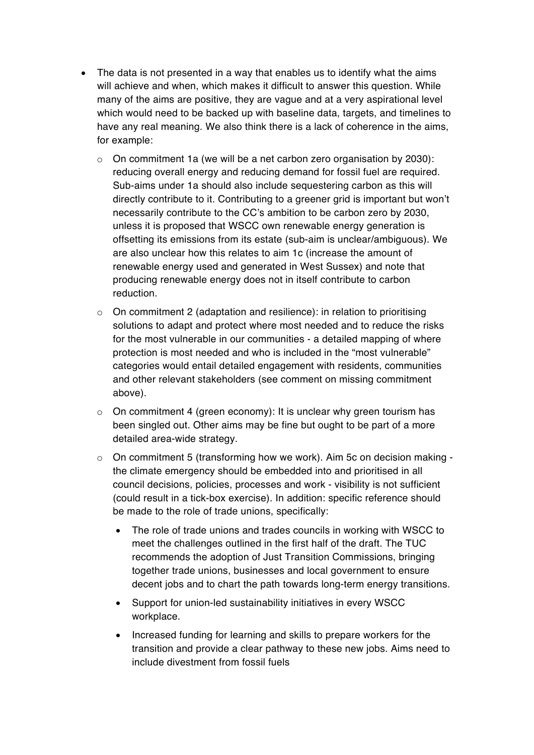- The data is not presented in a way that enables us to identify what the aims will achieve and when, which makes it difficult to answer this question. While many of the aims are positive, they are vague and at a very aspirational level which would need to be backed up with baseline data, targets, and timelines to have any real meaning. We also think there is a lack of coherence in the aims, for example:
	- $\circ$  On commitment 1a (we will be a net carbon zero organisation by 2030): reducing overall energy and reducing demand for fossil fuel are required. Sub-aims under 1a should also include sequestering carbon as this will directly contribute to it. Contributing to a greener grid is important but won't necessarily contribute to the CC's ambition to be carbon zero by 2030, unless it is proposed that WSCC own renewable energy generation is offsetting its emissions from its estate (sub-aim is unclear/ambiguous). We are also unclear how this relates to aim 1c (increase the amount of renewable energy used and generated in West Sussex) and note that producing renewable energy does not in itself contribute to carbon reduction.
	- o On commitment 2 (adaptation and resilience): in relation to prioritising solutions to adapt and protect where most needed and to reduce the risks for the most vulnerable in our communities - a detailed mapping of where protection is most needed and who is included in the "most vulnerable" categories would entail detailed engagement with residents, communities and other relevant stakeholders (see comment on missing commitment above).
	- $\circ$  On commitment 4 (green economy): It is unclear why green tourism has been singled out. Other aims may be fine but ought to be part of a more detailed area-wide strategy.
	- $\circ$  On commitment 5 (transforming how we work). Aim 5c on decision making the climate emergency should be embedded into and prioritised in all council decisions, policies, processes and work - visibility is not sufficient (could result in a tick-box exercise). In addition: specific reference should be made to the role of trade unions, specifically:
		- The role of trade unions and trades councils in working with WSCC to meet the challenges outlined in the first half of the draft. The TUC recommends the adoption of Just Transition Commissions, bringing together trade unions, businesses and local government to ensure decent jobs and to chart the path towards long-term energy transitions.
		- Support for union-led sustainability initiatives in every WSCC workplace.
		- Increased funding for learning and skills to prepare workers for the transition and provide a clear pathway to these new jobs. Aims need to include divestment from fossil fuels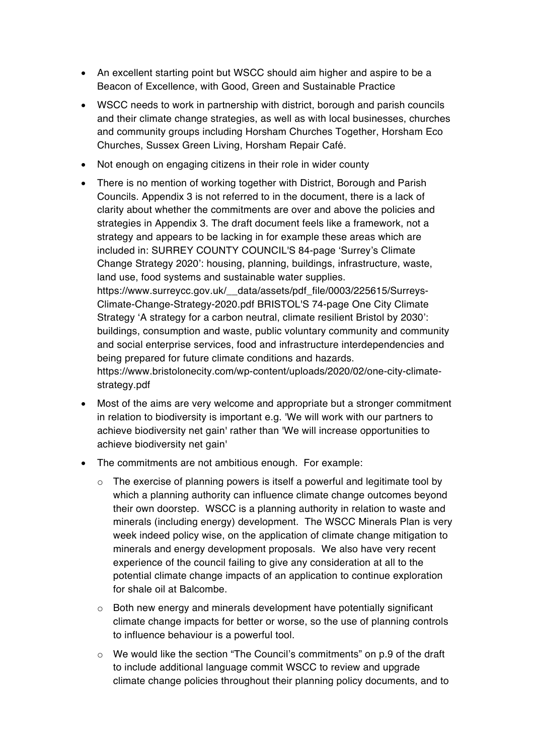- An excellent starting point but WSCC should aim higher and aspire to be a Beacon of Excellence, with Good, Green and Sustainable Practice
- WSCC needs to work in partnership with district, borough and parish councils and their climate change strategies, as well as with local businesses, churches and community groups including Horsham Churches Together, Horsham Eco Churches, Sussex Green Living, Horsham Repair Café.
- Not enough on engaging citizens in their role in wider county
- There is no mention of working together with District, Borough and Parish Councils. Appendix 3 is not referred to in the document, there is a lack of clarity about whether the commitments are over and above the policies and strategies in Appendix 3. The draft document feels like a framework, not a strategy and appears to be lacking in for example these areas which are included in: SURREY COUNTY COUNCIL'S 84-page 'Surrey's Climate Change Strategy 2020': housing, planning, buildings, infrastructure, waste, land use, food systems and sustainable water supplies. https://www.surreycc.gov.uk/ data/assets/pdf\_file/0003/225615/Surreys-Climate-Change-Strategy-2020.pdf BRISTOL'S 74-page One City Climate Strategy 'A strategy for a carbon neutral, climate resilient Bristol by 2030': buildings, consumption and waste, public voluntary community and community and social enterprise services, food and infrastructure interdependencies and

being prepared for future climate conditions and hazards. https://www.bristolonecity.com/wp-content/uploads/2020/02/one-city-climatestrategy.pdf

- Most of the aims are very welcome and appropriate but a stronger commitment in relation to biodiversity is important e.g. 'We will work with our partners to achieve biodiversity net gain' rather than 'We will increase opportunities to achieve biodiversity net gain'
- The commitments are not ambitious enough. For example:
	- o The exercise of planning powers is itself a powerful and legitimate tool by which a planning authority can influence climate change outcomes beyond their own doorstep. WSCC is a planning authority in relation to waste and minerals (including energy) development. The WSCC Minerals Plan is very week indeed policy wise, on the application of climate change mitigation to minerals and energy development proposals. We also have very recent experience of the council failing to give any consideration at all to the potential climate change impacts of an application to continue exploration for shale oil at Balcombe.
	- $\circ$  Both new energy and minerals development have potentially significant climate change impacts for better or worse, so the use of planning controls to influence behaviour is a powerful tool.
	- $\circ$  We would like the section "The Council's commitments" on p.9 of the draft to include additional language commit WSCC to review and upgrade climate change policies throughout their planning policy documents, and to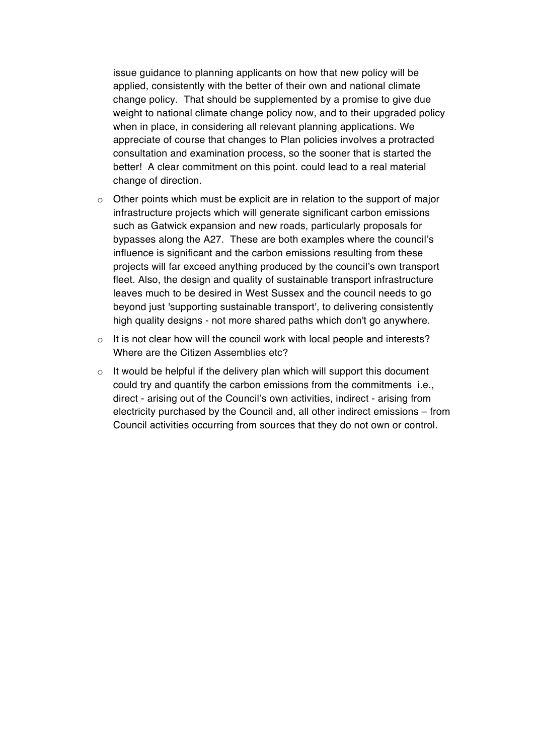issue guidance to planning applicants on how that new policy will be applied, consistently with the better of their own and national climate change policy. That should be supplemented by a promise to give due weight to national climate change policy now, and to their upgraded policy when in place, in considering all relevant planning applications. We appreciate of course that changes to Plan policies involves a protracted consultation and examination process, so the sooner that is started the better! A clear commitment on this point. could lead to a real material change of direction.

- $\circ$  Other points which must be explicit are in relation to the support of major infrastructure projects which will generate significant carbon emissions such as Gatwick expansion and new roads, particularly proposals for bypasses along the A27. These are both examples where the council's influence is significant and the carbon emissions resulting from these projects will far exceed anything produced by the council's own transport fleet. Also, the design and quality of sustainable transport infrastructure leaves much to be desired in West Sussex and the council needs to go beyond just 'supporting sustainable transport', to delivering consistently high quality designs - not more shared paths which don't go anywhere.
- o It is not clear how will the council work with local people and interests? Where are the Citizen Assemblies etc?
- $\circ$  It would be helpful if the delivery plan which will support this document could try and quantify the carbon emissions from the commitments i.e., direct - arising out of the Council's own activities, indirect - arising from electricity purchased by the Council and, all other indirect emissions – from Council activities occurring from sources that they do not own or control.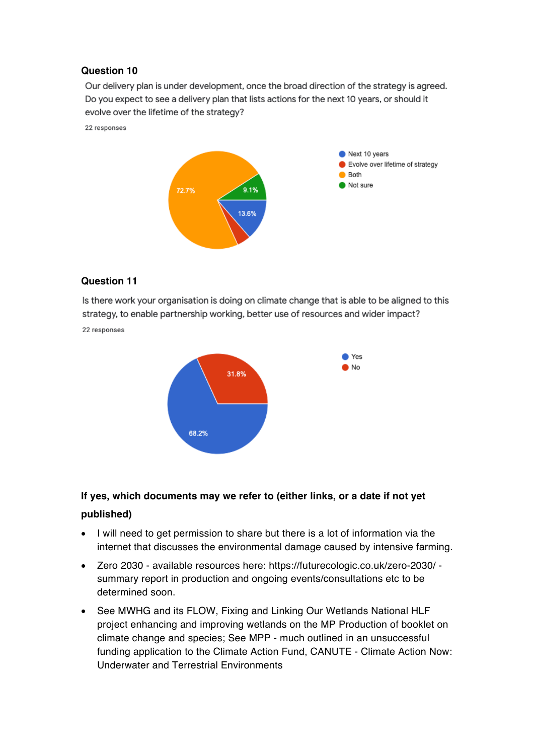Our delivery plan is under development, once the broad direction of the strategy is agreed. Do you expect to see a delivery plan that lists actions for the next 10 years, or should it evolve over the lifetime of the strategy?

22 responses



#### **Question 11**

Is there work your organisation is doing on climate change that is able to be aligned to this strategy, to enable partnership working, better use of resources and wider impact?

22 responses



## **If yes, which documents may we refer to (either links, or a date if not yet published)**

- I will need to get permission to share but there is a lot of information via the internet that discusses the environmental damage caused by intensive farming.
- Zero 2030 available resources here: https://futurecologic.co.uk/zero-2030/ summary report in production and ongoing events/consultations etc to be determined soon.
- See MWHG and its FLOW, Fixing and Linking Our Wetlands National HLF project enhancing and improving wetlands on the MP Production of booklet on climate change and species; See MPP - much outlined in an unsuccessful funding application to the Climate Action Fund, CANUTE - Climate Action Now: Underwater and Terrestrial Environments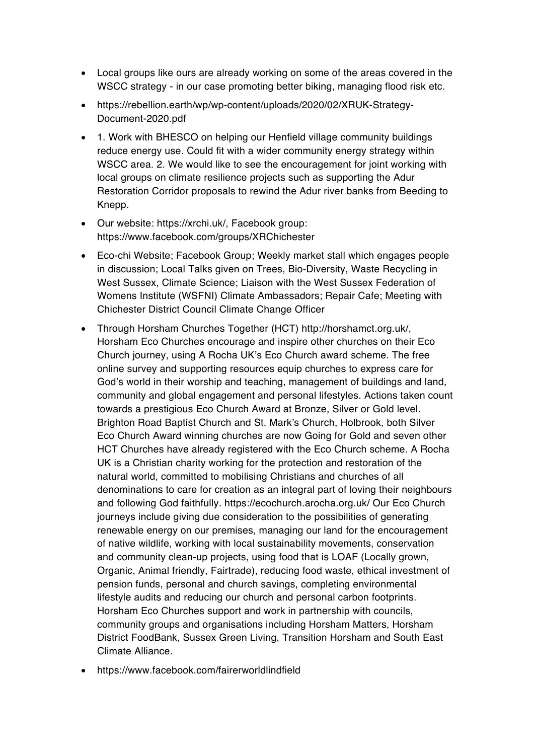- Local groups like ours are already working on some of the areas covered in the WSCC strategy - in our case promoting better biking, managing flood risk etc.
- https://rebellion.earth/wp/wp-content/uploads/2020/02/XRUK-Strategy-Document-2020.pdf
- 1. Work with BHESCO on helping our Henfield village community buildings reduce energy use. Could fit with a wider community energy strategy within WSCC area. 2. We would like to see the encouragement for joint working with local groups on climate resilience projects such as supporting the Adur Restoration Corridor proposals to rewind the Adur river banks from Beeding to Knepp.
- Our website: https://xrchi.uk/, Facebook group: https://www.facebook.com/groups/XRChichester
- Eco-chi Website; Facebook Group; Weekly market stall which engages people in discussion; Local Talks given on Trees, Bio-Diversity, Waste Recycling in West Sussex, Climate Science; Liaison with the West Sussex Federation of Womens Institute (WSFNI) Climate Ambassadors; Repair Cafe; Meeting with Chichester District Council Climate Change Officer
- Through Horsham Churches Together (HCT) http://horshamct.org.uk/, Horsham Eco Churches encourage and inspire other churches on their Eco Church journey, using A Rocha UK's Eco Church award scheme. The free online survey and supporting resources equip churches to express care for God's world in their worship and teaching, management of buildings and land, community and global engagement and personal lifestyles. Actions taken count towards a prestigious Eco Church Award at Bronze, Silver or Gold level. Brighton Road Baptist Church and St. Mark's Church, Holbrook, both Silver Eco Church Award winning churches are now Going for Gold and seven other HCT Churches have already registered with the Eco Church scheme. A Rocha UK is a Christian charity working for the protection and restoration of the natural world, committed to mobilising Christians and churches of all denominations to care for creation as an integral part of loving their neighbours and following God faithfully. https://ecochurch.arocha.org.uk/ Our Eco Church journeys include giving due consideration to the possibilities of generating renewable energy on our premises, managing our land for the encouragement of native wildlife, working with local sustainability movements, conservation and community clean-up projects, using food that is LOAF (Locally grown, Organic, Animal friendly, Fairtrade), reducing food waste, ethical investment of pension funds, personal and church savings, completing environmental lifestyle audits and reducing our church and personal carbon footprints. Horsham Eco Churches support and work in partnership with councils, community groups and organisations including Horsham Matters, Horsham District FoodBank, Sussex Green Living, Transition Horsham and South East Climate Alliance.
- https://www.facebook.com/fairerworldlindfield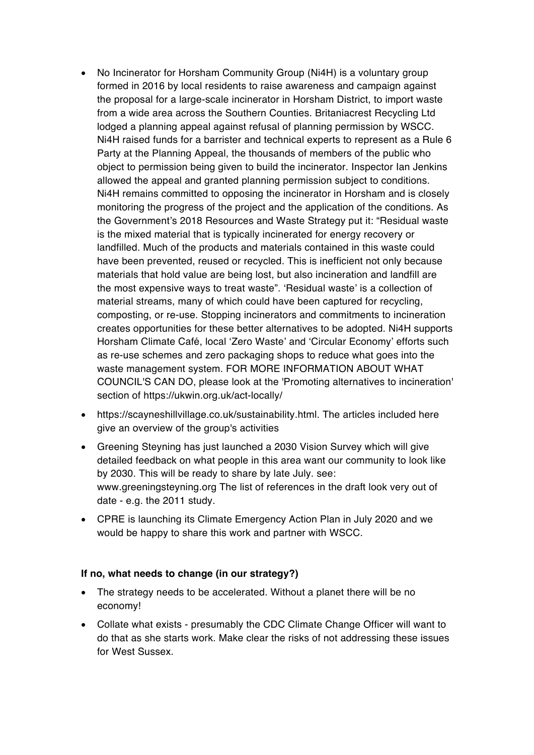- No Incinerator for Horsham Community Group (Ni4H) is a voluntary group formed in 2016 by local residents to raise awareness and campaign against the proposal for a large-scale incinerator in Horsham District, to import waste from a wide area across the Southern Counties. Britaniacrest Recycling Ltd lodged a planning appeal against refusal of planning permission by WSCC. Ni4H raised funds for a barrister and technical experts to represent as a Rule 6 Party at the Planning Appeal, the thousands of members of the public who object to permission being given to build the incinerator. Inspector Ian Jenkins allowed the appeal and granted planning permission subject to conditions. Ni4H remains committed to opposing the incinerator in Horsham and is closely monitoring the progress of the project and the application of the conditions. As the Government's 2018 Resources and Waste Strategy put it: "Residual waste is the mixed material that is typically incinerated for energy recovery or landfilled. Much of the products and materials contained in this waste could have been prevented, reused or recycled. This is inefficient not only because materials that hold value are being lost, but also incineration and landfill are the most expensive ways to treat waste". 'Residual waste' is a collection of material streams, many of which could have been captured for recycling, composting, or re-use. Stopping incinerators and commitments to incineration creates opportunities for these better alternatives to be adopted. Ni4H supports Horsham Climate Café, local 'Zero Waste' and 'Circular Economy' efforts such as re-use schemes and zero packaging shops to reduce what goes into the waste management system. FOR MORE INFORMATION ABOUT WHAT COUNCIL'S CAN DO, please look at the 'Promoting alternatives to incineration' section of https://ukwin.org.uk/act-locally/
- https://scayneshillvillage.co.uk/sustainability.html. The articles included here give an overview of the group's activities
- Greening Steyning has just launched a 2030 Vision Survey which will give detailed feedback on what people in this area want our community to look like by 2030. This will be ready to share by late July. see: www.greeningsteyning.org The list of references in the draft look very out of date - e.g. the 2011 study.
- CPRE is launching its Climate Emergency Action Plan in July 2020 and we would be happy to share this work and partner with WSCC.

#### **If no, what needs to change (in our strategy?)**

- The strategy needs to be accelerated. Without a planet there will be no economy!
- Collate what exists presumably the CDC Climate Change Officer will want to do that as she starts work. Make clear the risks of not addressing these issues for West Sussex.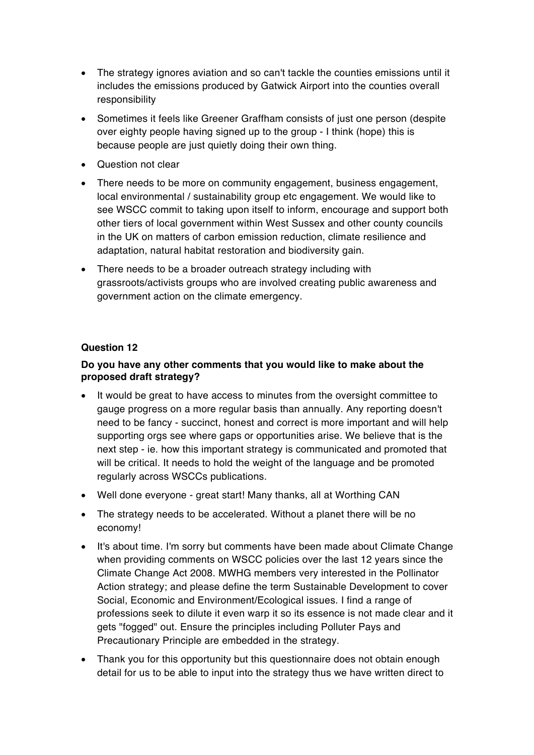- The strategy ignores aviation and so can't tackle the counties emissions until it includes the emissions produced by Gatwick Airport into the counties overall responsibility
- Sometimes it feels like Greener Graffham consists of just one person (despite over eighty people having signed up to the group - I think (hope) this is because people are just quietly doing their own thing.
- Question not clear
- There needs to be more on community engagement, business engagement, local environmental / sustainability group etc engagement. We would like to see WSCC commit to taking upon itself to inform, encourage and support both other tiers of local government within West Sussex and other county councils in the UK on matters of carbon emission reduction, climate resilience and adaptation, natural habitat restoration and biodiversity gain.
- There needs to be a broader outreach strategy including with grassroots/activists groups who are involved creating public awareness and government action on the climate emergency.

#### **Do you have any other comments that you would like to make about the proposed draft strategy?**

- It would be great to have access to minutes from the oversight committee to gauge progress on a more regular basis than annually. Any reporting doesn't need to be fancy - succinct, honest and correct is more important and will help supporting orgs see where gaps or opportunities arise. We believe that is the next step - ie. how this important strategy is communicated and promoted that will be critical. It needs to hold the weight of the language and be promoted regularly across WSCCs publications.
- Well done everyone great start! Many thanks, all at Worthing CAN
- The strategy needs to be accelerated. Without a planet there will be no economy!
- It's about time. I'm sorry but comments have been made about Climate Change when providing comments on WSCC policies over the last 12 years since the Climate Change Act 2008. MWHG members very interested in the Pollinator Action strategy; and please define the term Sustainable Development to cover Social, Economic and Environment/Ecological issues. I find a range of professions seek to dilute it even warp it so its essence is not made clear and it gets "fogged" out. Ensure the principles including Polluter Pays and Precautionary Principle are embedded in the strategy.
- Thank you for this opportunity but this questionnaire does not obtain enough detail for us to be able to input into the strategy thus we have written direct to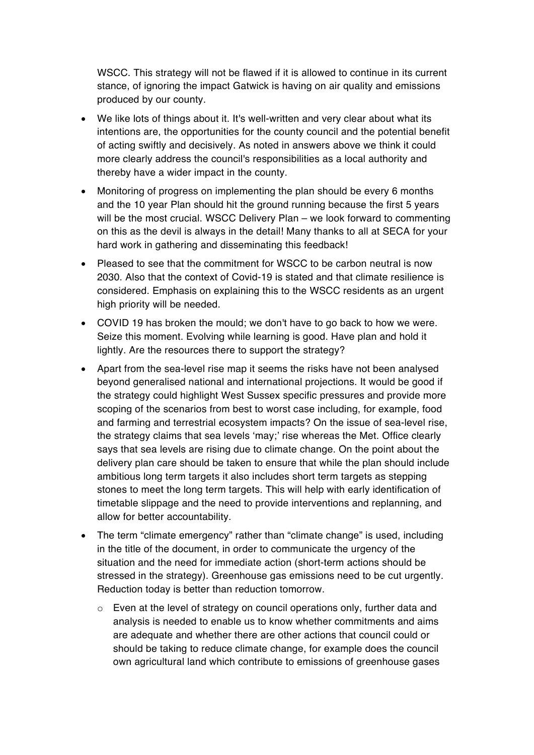WSCC. This strategy will not be flawed if it is allowed to continue in its current stance, of ignoring the impact Gatwick is having on air quality and emissions produced by our county.

- We like lots of things about it. It's well-written and very clear about what its intentions are, the opportunities for the county council and the potential benefit of acting swiftly and decisively. As noted in answers above we think it could more clearly address the council's responsibilities as a local authority and thereby have a wider impact in the county.
- Monitoring of progress on implementing the plan should be every 6 months and the 10 year Plan should hit the ground running because the first 5 years will be the most crucial. WSCC Delivery Plan – we look forward to commenting on this as the devil is always in the detail! Many thanks to all at SECA for your hard work in gathering and disseminating this feedback!
- Pleased to see that the commitment for WSCC to be carbon neutral is now 2030. Also that the context of Covid-19 is stated and that climate resilience is considered. Emphasis on explaining this to the WSCC residents as an urgent high priority will be needed.
- COVID 19 has broken the mould; we don't have to go back to how we were. Seize this moment. Evolving while learning is good. Have plan and hold it lightly. Are the resources there to support the strategy?
- Apart from the sea-level rise map it seems the risks have not been analysed beyond generalised national and international projections. It would be good if the strategy could highlight West Sussex specific pressures and provide more scoping of the scenarios from best to worst case including, for example, food and farming and terrestrial ecosystem impacts? On the issue of sea-level rise, the strategy claims that sea levels 'may;' rise whereas the Met. Office clearly says that sea levels are rising due to climate change. On the point about the delivery plan care should be taken to ensure that while the plan should include ambitious long term targets it also includes short term targets as stepping stones to meet the long term targets. This will help with early identification of timetable slippage and the need to provide interventions and replanning, and allow for better accountability.
- The term "climate emergency" rather than "climate change" is used, including in the title of the document, in order to communicate the urgency of the situation and the need for immediate action (short-term actions should be stressed in the strategy). Greenhouse gas emissions need to be cut urgently. Reduction today is better than reduction tomorrow.
	- $\circ$  Even at the level of strategy on council operations only, further data and analysis is needed to enable us to know whether commitments and aims are adequate and whether there are other actions that council could or should be taking to reduce climate change, for example does the council own agricultural land which contribute to emissions of greenhouse gases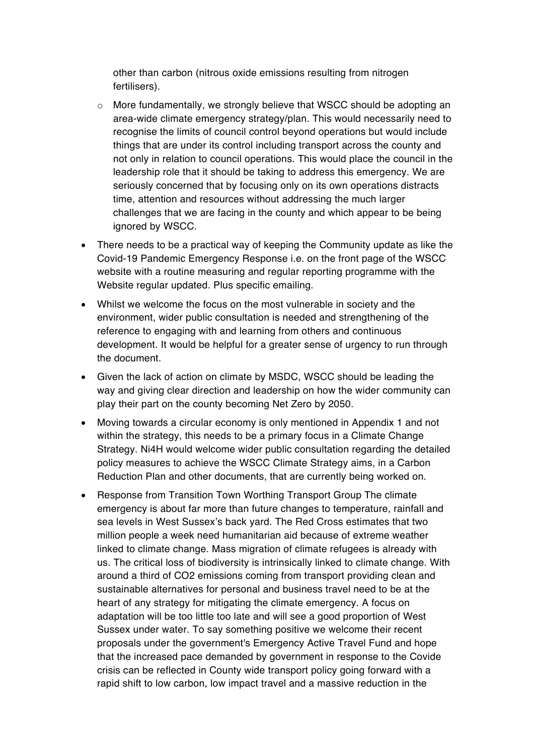other than carbon (nitrous oxide emissions resulting from nitrogen fertilisers).

- $\circ$  More fundamentally, we strongly believe that WSCC should be adopting an area-wide climate emergency strategy/plan. This would necessarily need to recognise the limits of council control beyond operations but would include things that are under its control including transport across the county and not only in relation to council operations. This would place the council in the leadership role that it should be taking to address this emergency. We are seriously concerned that by focusing only on its own operations distracts time, attention and resources without addressing the much larger challenges that we are facing in the county and which appear to be being ignored by WSCC.
- There needs to be a practical way of keeping the Community update as like the Covid-19 Pandemic Emergency Response i.e. on the front page of the WSCC website with a routine measuring and regular reporting programme with the Website regular updated. Plus specific emailing.
- Whilst we welcome the focus on the most vulnerable in society and the environment, wider public consultation is needed and strengthening of the reference to engaging with and learning from others and continuous development. It would be helpful for a greater sense of urgency to run through the document.
- Given the lack of action on climate by MSDC, WSCC should be leading the way and giving clear direction and leadership on how the wider community can play their part on the county becoming Net Zero by 2050.
- Moving towards a circular economy is only mentioned in Appendix 1 and not within the strategy, this needs to be a primary focus in a Climate Change Strategy. Ni4H would welcome wider public consultation regarding the detailed policy measures to achieve the WSCC Climate Strategy aims, in a Carbon Reduction Plan and other documents, that are currently being worked on.
- Response from Transition Town Worthing Transport Group The climate emergency is about far more than future changes to temperature, rainfall and sea levels in West Sussex's back yard. The Red Cross estimates that two million people a week need humanitarian aid because of extreme weather linked to climate change. Mass migration of climate refugees is already with us. The critical loss of biodiversity is intrinsically linked to climate change. With around a third of CO2 emissions coming from transport providing clean and sustainable alternatives for personal and business travel need to be at the heart of any strategy for mitigating the climate emergency. A focus on adaptation will be too little too late and will see a good proportion of West Sussex under water. To say something positive we welcome their recent proposals under the government's Emergency Active Travel Fund and hope that the increased pace demanded by government in response to the Covide crisis can be reflected in County wide transport policy going forward with a rapid shift to low carbon, low impact travel and a massive reduction in the